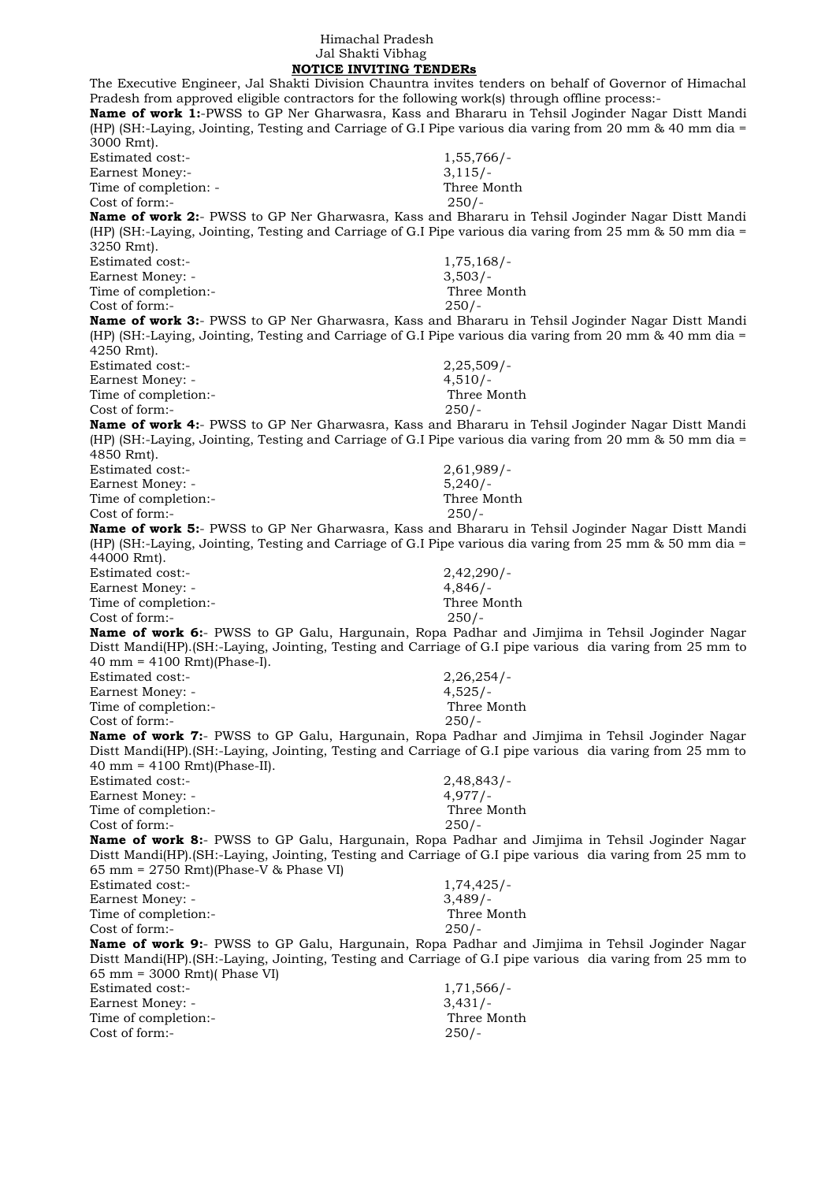## Himachal Pradesh Jal Shakti Vibhag

 **NOTICE INVITING TENDERs** The Executive Engineer, Jal Shakti Division Chauntra invites tenders on behalf of Governor of Himachal Pradesh from approved eligible contractors for the following work(s) through offline process:- **Name of work 1:**-PWSS to GP Ner Gharwasra, Kass and Bhararu in Tehsil Joginder Nagar Distt Mandi (HP) (SH:-Laying, Jointing, Testing and Carriage of G.I Pipe various dia varing from 20 mm & 40 mm dia = 3000 Rmt). Estimated cost:- 1,55,766/- Earnest Money:- 3,115/-Time of completion: - Three Month  $Cost of form: -250/$ **Name of work 2:**- PWSS to GP Ner Gharwasra, Kass and Bhararu in Tehsil Joginder Nagar Distt Mandi (HP) (SH:-Laying, Jointing, Testing and Carriage of G.I Pipe various dia varing from 25 mm & 50 mm dia = 3250 Rmt). Estimated cost:- 1,75,168/- Earnest Money: - 3,503/-Time of completion:- Three Month Cost of form:- 250/- **Name of work 3:**- PWSS to GP Ner Gharwasra, Kass and Bhararu in Tehsil Joginder Nagar Distt Mandi (HP) (SH:-Laying, Jointing, Testing and Carriage of G.I Pipe various dia varing from 20 mm & 40 mm dia = 4250 Rmt). Estimated cost:- 2,25,509/- Earnest Money: - 4.510/-Time of completion:- Three Month Cost of form:- 250/- **Name of work 4:**- PWSS to GP Ner Gharwasra, Kass and Bhararu in Tehsil Joginder Nagar Distt Mandi (HP) (SH:-Laying, Jointing, Testing and Carriage of G.I Pipe various dia varing from 20 mm & 50 mm dia = 4850 Rmt). Estimated cost:- 2,61,989/- Earnest Money: - 5,240/-Time of completion:- Three Month Cost of form:- 250/- **Name of work 5:**- PWSS to GP Ner Gharwasra, Kass and Bhararu in Tehsil Joginder Nagar Distt Mandi (HP) (SH:-Laying, Jointing, Testing and Carriage of G.I Pipe various dia varing from 25 mm & 50 mm dia = 44000 Rmt). Estimated cost:- 2,42,290/- Earnest Money: - 4,846/-Time of completion:- Three Month Cost of form:- 250/- **Name of work 6:**- PWSS to GP Galu, Hargunain, Ropa Padhar and Jimjima in Tehsil Joginder Nagar Distt Mandi(HP).(SH:-Laying, Jointing, Testing and Carriage of G.I pipe various dia varing from 25 mm to 40 mm = 4100 Rmt)(Phase-I). Estimated cost:- 2,26,254/- Earnest Money: - 4,525/-Time of completion:- Three Month Cost of form:- 250/- **Name of work 7:**- PWSS to GP Galu, Hargunain, Ropa Padhar and Jimjima in Tehsil Joginder Nagar Distt Mandi(HP).(SH:-Laying, Jointing, Testing and Carriage of G.I pipe various dia varing from 25 mm to 40 mm = 4100 Rmt)(Phase-II). Estimated cost:- 2,48,843/- Earnest Money: - 4,977/-Time of completion:- Three Month Cost of form:- 250/- **Name of work 8:**- PWSS to GP Galu, Hargunain, Ropa Padhar and Jimjima in Tehsil Joginder Nagar Distt Mandi(HP).(SH:-Laying, Jointing, Testing and Carriage of G.I pipe various dia varing from 25 mm to 65 mm = 2750 Rmt)(Phase-V & Phase VI) Estimated cost:- 1,74,425/- Earnest Money: - 3,489/-Time of completion:- Three Month Cost of form:- 250/- **Name of work 9:**- PWSS to GP Galu, Hargunain, Ropa Padhar and Jimjima in Tehsil Joginder Nagar Distt Mandi(HP).(SH:-Laying, Jointing, Testing and Carriage of G.I pipe various dia varing from 25 mm to 65 mm = 3000 Rmt)( Phase VI) Estimated cost:- 1,71,566/- Earnest Money: - 3,431/-Time of completion:- Three Month Cost of form:- 250/-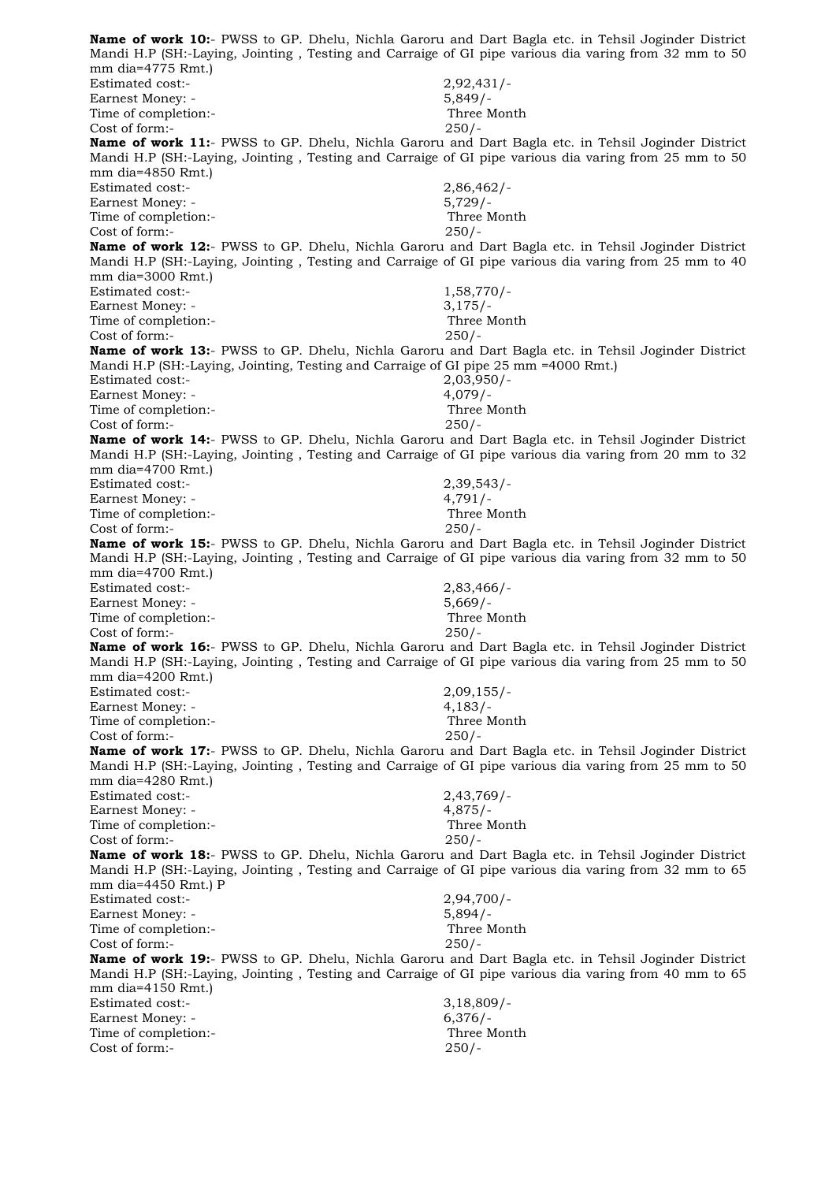**Name of work 10:**- PWSS to GP. Dhelu, Nichla Garoru and Dart Bagla etc. in Tehsil Joginder District Mandi H.P (SH:-Laying, Jointing , Testing and Carraige of GI pipe various dia varing from 32 mm to 50 mm dia=4775 Rmt.) Estimated cost:- 2,92,431/- Earnest Money: - 5,849/-Time of completion:- Three Month Cost of form:- 250/- **Name of work 11:**- PWSS to GP. Dhelu, Nichla Garoru and Dart Bagla etc. in Tehsil Joginder District Mandi H.P (SH:-Laying, Jointing , Testing and Carraige of GI pipe various dia varing from 25 mm to 50 mm dia=4850 Rmt.) Estimated cost:- 2,86,462/-Earnest Money: - 5,729/-Time of completion:- Three Month Cost of form:- 250/- **Name of work 12:**- PWSS to GP. Dhelu, Nichla Garoru and Dart Bagla etc. in Tehsil Joginder District Mandi H.P (SH:-Laying, Jointing , Testing and Carraige of GI pipe various dia varing from 25 mm to 40 mm dia=3000 Rmt.) Estimated cost:- 1,58,770/- Earnest Money: - 3,175/-Time of completion:- Three Month Cost of form:- 250/- **Name of work 13:**- PWSS to GP. Dhelu, Nichla Garoru and Dart Bagla etc. in Tehsil Joginder District Mandi H.P (SH:-Laying, Jointing, Testing and Carraige of GI pipe 25 mm =4000 Rmt.) Estimated cost:- 2,03,950/- Earnest Money: - 4,079/-Time of completion:- Three Month Cost of form:- 250/- **Name of work 14:**- PWSS to GP. Dhelu, Nichla Garoru and Dart Bagla etc. in Tehsil Joginder District Mandi H.P (SH:-Laying, Jointing , Testing and Carraige of GI pipe various dia varing from 20 mm to 32 mm dia=4700 Rmt.) Estimated cost:- 2,39,543/- Earnest Money: - 4,791/-Time of completion:- Three Month Cost of form:- 250/- **Name of work 15:**- PWSS to GP. Dhelu, Nichla Garoru and Dart Bagla etc. in Tehsil Joginder District Mandi H.P (SH:-Laying, Jointing , Testing and Carraige of GI pipe various dia varing from 32 mm to 50 mm dia=4700 Rmt.) Estimated cost:- 2,83,466/- Earnest Money: - 5,669/-Time of completion:- Three Month Cost of form:- 250/- **Name of work 16:**- PWSS to GP. Dhelu, Nichla Garoru and Dart Bagla etc. in Tehsil Joginder District Mandi H.P (SH:-Laying, Jointing , Testing and Carraige of GI pipe various dia varing from 25 mm to 50 mm dia=4200 Rmt.) Estimated cost:- 2,09,155/- Earnest Money: - 4,183/-Time of completion:- Three Month Cost of form:- 250/- **Name of work 17:**- PWSS to GP. Dhelu, Nichla Garoru and Dart Bagla etc. in Tehsil Joginder District Mandi H.P (SH:-Laying, Jointing , Testing and Carraige of GI pipe various dia varing from 25 mm to 50 mm dia=4280 Rmt.) Estimated cost:- 2,43,769/- Earnest Money: - 4,875/-Time of completion:- Three Month Cost of form:- 250/- **Name of work 18:**- PWSS to GP. Dhelu, Nichla Garoru and Dart Bagla etc. in Tehsil Joginder District Mandi H.P (SH:-Laying, Jointing , Testing and Carraige of GI pipe various dia varing from 32 mm to 65 mm dia=4450 Rmt.) P Estimated cost:-<br>
Earnest Money: -<br>
5,894/-<br>
5,894/-Earnest Money: -Time of completion:- Three Month Cost of form:- 250/- **Name of work 19:**- PWSS to GP. Dhelu, Nichla Garoru and Dart Bagla etc. in Tehsil Joginder District Mandi H.P (SH:-Laying, Jointing , Testing and Carraige of GI pipe various dia varing from 40 mm to 65 mm dia=4150 Rmt.) Estimated cost:- 3,18,809/- Earnest Money: - 6,376/-Time of completion:- Three Month Cost of form:- 250/-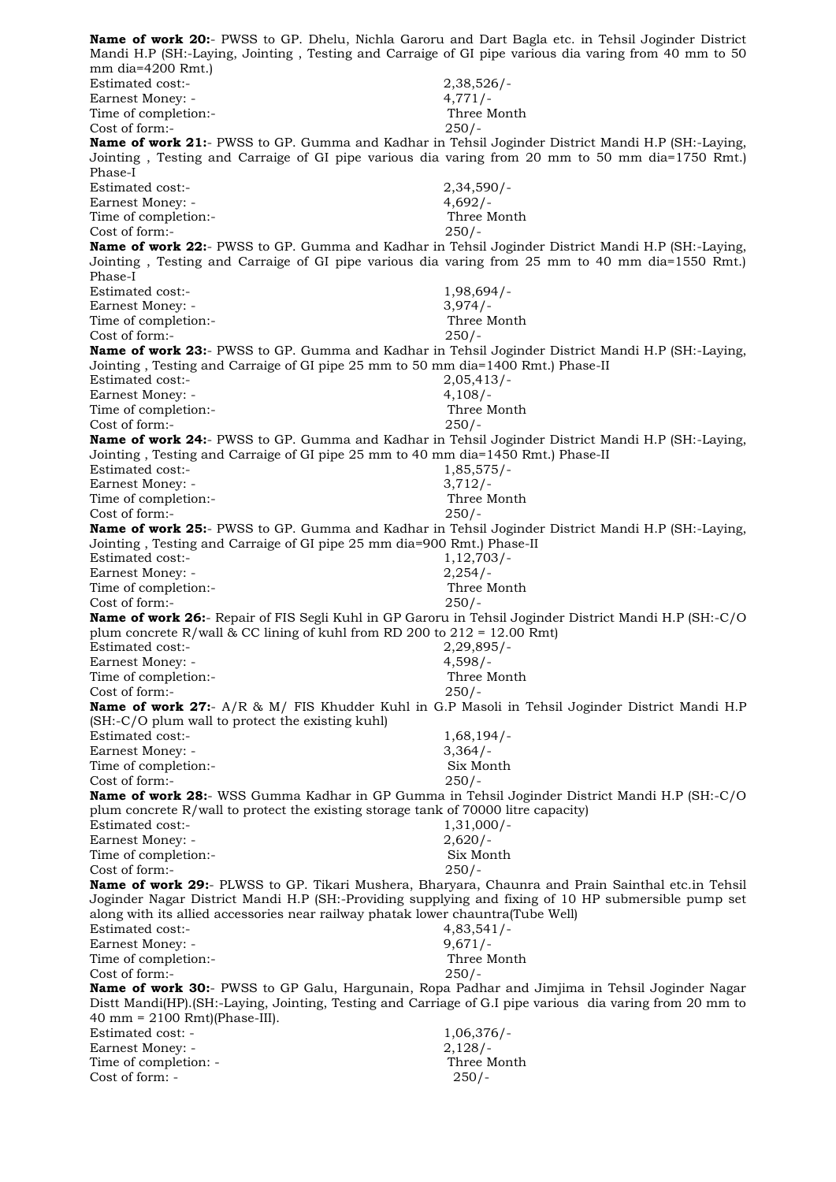**Name of work 20:**- PWSS to GP. Dhelu, Nichla Garoru and Dart Bagla etc. in Tehsil Joginder District Mandi H.P (SH:-Laying, Jointing , Testing and Carraige of GI pipe various dia varing from 40 mm to 50 mm dia=4200 Rmt.) Estimated cost:- 2,38,526/- Earnest Money: - 4,771/-Time of completion:- Three Month Cost of form:- 250/- **Name of work 21:**- PWSS to GP. Gumma and Kadhar in Tehsil Joginder District Mandi H.P (SH:-Laying, Jointing , Testing and Carraige of GI pipe various dia varing from 20 mm to 50 mm dia=1750 Rmt.) Phase-I Estimated cost:- 2,34,590/- Earnest Money: - 4,692/-Time of completion:- Three Month Cost of form:- 250/- **Name of work 22:**- PWSS to GP. Gumma and Kadhar in Tehsil Joginder District Mandi H.P (SH:-Laying, Jointing , Testing and Carraige of GI pipe various dia varing from 25 mm to 40 mm dia=1550 Rmt.) Phase-I Estimated cost:- 1,98,694/-Earnest Money: - 3,974/-Time of completion:- Three Month Cost of form:- 250/- **Name of work 23:**- PWSS to GP. Gumma and Kadhar in Tehsil Joginder District Mandi H.P (SH:-Laying, Jointing , Testing and Carraige of GI pipe 25 mm to 50 mm dia=1400 Rmt.) Phase-II Estimated cost:- 2,05,413/- Earnest Money: - 4,108/-Time of completion:- Three Month Cost of form:- 250/- **Name of work 24:**- PWSS to GP. Gumma and Kadhar in Tehsil Joginder District Mandi H.P (SH:-Laying, Jointing , Testing and Carraige of GI pipe 25 mm to 40 mm dia=1450 Rmt.) Phase-II Estimated cost:- 1,85,575/-Earnest Money: - 3,712/-Time of completion:-<br>
Cost of form:-<br>
250/-Cost of form:-**Name of work 25:**- PWSS to GP. Gumma and Kadhar in Tehsil Joginder District Mandi H.P (SH:-Laying, Jointing , Testing and Carraige of GI pipe 25 mm dia=900 Rmt.) Phase-II Estimated cost:- 1,12,703/-Earnest Money: - 2,254/-Time of completion:- Three Month Cost of form:- 250/- **Name of work 26:**- Repair of FIS Segli Kuhl in GP Garoru in Tehsil Joginder District Mandi H.P (SH:-C/O plum concrete R/wall & CC lining of kuhl from RD 200 to  $212 = 12.00$  Rmt) Estimated cost:- 2,29,895/- Earnest Money: - 4,598/-Time of completion:- Three Month Cost of form:- 250/- **Name of work 27:**- A/R & M/ FIS Khudder Kuhl in G.P Masoli in Tehsil Joginder District Mandi H.P (SH:-C/O plum wall to protect the existing kuhl) Estimated cost:- 1,68,194/-Earnest Money: - 3,364/-Time of completion:- Six Month Cost of form:- 250/- **Name of work 28:**- WSS Gumma Kadhar in GP Gumma in Tehsil Joginder District Mandi H.P (SH:-C/O plum concrete R/wall to protect the existing storage tank of 70000 litre capacity) Estimated cost:- 1,31,000/- Earnest Money: - 2,620/- Time of completion:- Six Month Cost of form:- 250/- **Name of work 29:**- PLWSS to GP. Tikari Mushera, Bharyara, Chaunra and Prain Sainthal etc.in Tehsil Joginder Nagar District Mandi H.P (SH:-Providing supplying and fixing of 10 HP submersible pump set along with its allied accessories near railway phatak lower chauntra(Tube Well) Estimated cost:- 4,83,541/- Earnest Money: - 9,671/-Time of completion:- Three Month Cost of form:- 250/- **Name of work 30:**- PWSS to GP Galu, Hargunain, Ropa Padhar and Jimjima in Tehsil Joginder Nagar Distt Mandi(HP).(SH:-Laying, Jointing, Testing and Carriage of G.I pipe various dia varing from 20 mm to 40 mm = 2100 Rmt)(Phase-III). Estimated cost: - 1,06,376/-Earnest Money: - 2,128/-Time of completion: - Three Month  $Cost of form: -250/$